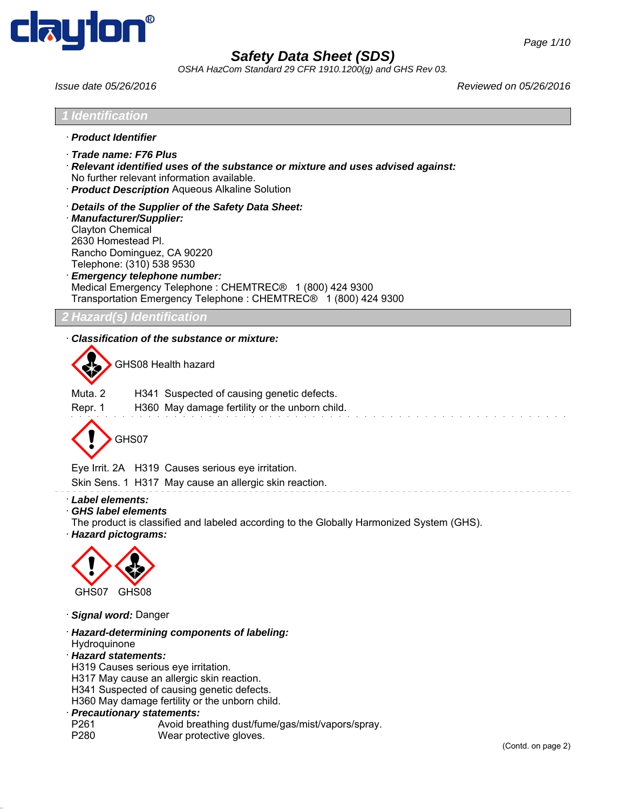

*OSHA HazCom Standard 29 CFR 1910.1200(g) and GHS Rev 03.*

*Issue date 05/26/2016 Reviewed on 05/26/2016*



H341 Suspected of causing genetic defects.

H360 May damage fertility or the unborn child.

- · *Precautionary statements:*
- P261 Avoid breathing dust/fume/gas/mist/vapors/spray.
- P280 Wear protective gloves.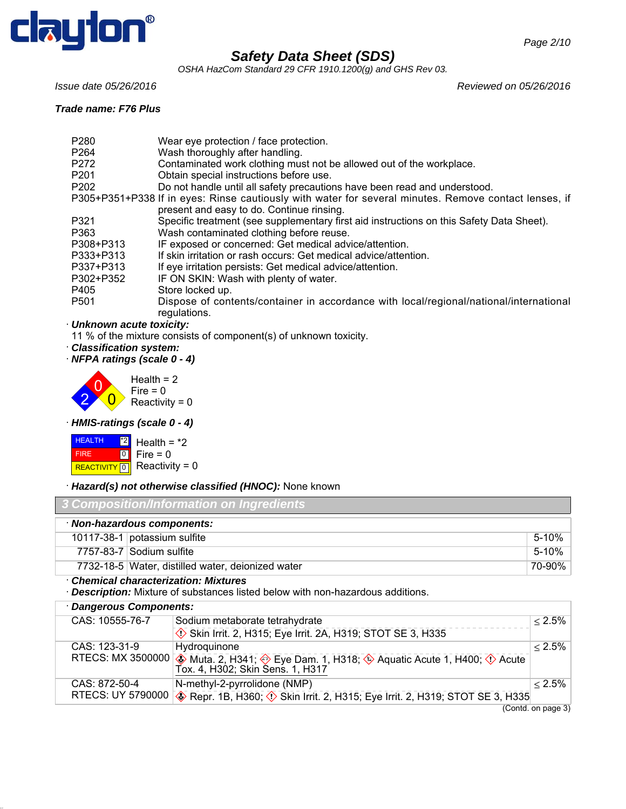

*OSHA HazCom Standard 29 CFR 1910.1200(g) and GHS Rev 03.*

*Issue date 05/26/2016 Reviewed on 05/26/2016*

#### *Trade name: F76 Plus*

| ue name. Fro Flus |                                                                                                                                                    |
|-------------------|----------------------------------------------------------------------------------------------------------------------------------------------------|
| P280              | Wear eye protection / face protection.                                                                                                             |
| P264              | Wash thoroughly after handling.                                                                                                                    |
| P272              | Contaminated work clothing must not be allowed out of the workplace.                                                                               |
| P201              | Obtain special instructions before use.                                                                                                            |
| P202              | Do not handle until all safety precautions have been read and understood.                                                                          |
|                   | P305+P351+P338 If in eyes: Rinse cautiously with water for several minutes. Remove contact lenses, if<br>present and easy to do. Continue rinsing. |
| P321              | Specific treatment (see supplementary first aid instructions on this Safety Data Sheet).                                                           |
| P363              | Wash contaminated clothing before reuse.                                                                                                           |
|                   |                                                                                                                                                    |

- P308+P313 IF exposed or concerned: Get medical advice/attention.
- P333+P313 If skin irritation or rash occurs: Get medical advice/attention.
- P337+P313 If eye irritation persists: Get medical advice/attention.
- P302+P352 IF ON SKIN: Wash with plenty of water.
- P405 Store locked up.
- P501 Dispose of contents/container in accordance with local/regional/national/international regulations.

### · *Unknown acute toxicity:*

11 % of the mixture consists of component(s) of unknown toxicity.

- · *Classification system:*
- · *NFPA ratings (scale 0 4)*



· *HMIS-ratings (scale 0 - 4)*



· *Hazard(s) not otherwise classified (HNOC):* None known

| 3 Composition/Information on Ingredients |                                                   |        |
|------------------------------------------|---------------------------------------------------|--------|
|                                          | · Non-hazardous components:                       |        |
|                                          | 10117-38-1 potassium sulfite                      | 5-10%  |
|                                          | 7757-83-7 Sodium sulfite                          | 5-10%  |
|                                          | 7732-18-5 Water, distilled water, deionized water | 70-90% |

· *Chemical characterization: Mixtures*

· *Description:* Mixture of substances listed below with non-hazardous additions.

| · Dangerous Components: |                          |                                                                                                                                                                                 |              |
|-------------------------|--------------------------|---------------------------------------------------------------------------------------------------------------------------------------------------------------------------------|--------------|
|                         | CAS: 10555-76-7          | Sodium metaborate tetrahydrate                                                                                                                                                  | $\leq 2.5\%$ |
|                         |                          | Skin Irrit. 2, H315; Eye Irrit. 2A, H319; STOT SE 3, H335                                                                                                                       |              |
|                         | CAS: 123-31-9            | Hydroguinone                                                                                                                                                                    | $< 2.5\%$    |
|                         |                          | RTECS: MX 3500000 $\diamondsuit$ Muta. 2, H341; $\diamondsuit$ Eye Dam. 1, H318; $\diamondsuit$ Aquatic Acute 1, H400; $\diamondsuit$ Acute<br>Tox. 4, H302; Skin Sens. 1, H317 |              |
|                         | CAS: 872-50-4            | N-methyl-2-pyrrolidone (NMP)                                                                                                                                                    | $< 2.5\%$    |
|                         | <b>RTECS: UY 5790000</b> | <b>EXECUTE:</b> Repr. 1B, H360; $\Diamond$ Skin Irrit. 2, H315; Eye Irrit. 2, H319; STOT SE 3, H335                                                                             |              |

(Contd. on page 3)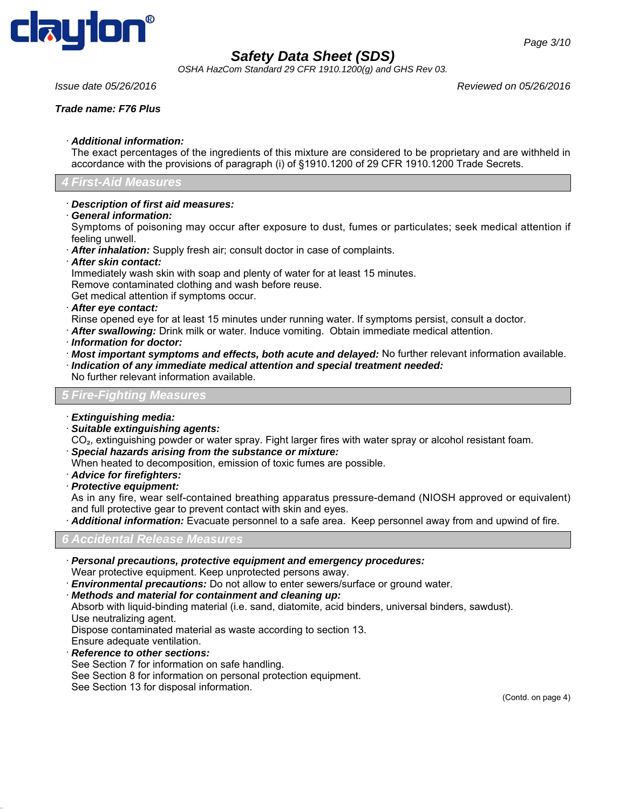

*OSHA HazCom Standard 29 CFR 1910.1200(g) and GHS Rev 03.*

#### *Trade name: F76 Plus*

*Page 3/10*

#### · *Additional information:*

The exact percentages of the ingredients of this mixture are considered to be proprietary and are withheld in accordance with the provisions of paragraph (i) of §1910.1200 of 29 CFR 1910.1200 Trade Secrets.

### *4 First-Aid Measures*

#### · *Description of first aid measures:*

· *General information:*

Symptoms of poisoning may occur after exposure to dust, fumes or particulates; seek medical attention if feeling unwell.

- · *After inhalation:* Supply fresh air; consult doctor in case of complaints.
- · *After skin contact:*

Immediately wash skin with soap and plenty of water for at least 15 minutes.

Remove contaminated clothing and wash before reuse.

Get medical attention if symptoms occur.

- · *After eye contact:*
- Rinse opened eye for at least 15 minutes under running water. If symptoms persist, consult a doctor.
- · *After swallowing:* Drink milk or water. Induce vomiting. Obtain immediate medical attention.
- · *Information for doctor:*
- · *Most important symptoms and effects, both acute and delayed:* No further relevant information available.
- · *Indication of any immediate medical attention and special treatment needed:*
- No further relevant information available.

#### *5 Fire-Fighting Measures*

#### · *Extinguishing media:*

- · *Suitable extinguishing agents:*
- CO₂, extinguishing powder or water spray. Fight larger fires with water spray or alcohol resistant foam.
- · *Special hazards arising from the substance or mixture:*
- When heated to decomposition, emission of toxic fumes are possible.
- · *Advice for firefighters:*
- · *Protective equipment:*

As in any fire, wear self-contained breathing apparatus pressure-demand (NIOSH approved or equivalent) and full protective gear to prevent contact with skin and eyes.

· *Additional information:* Evacuate personnel to a safe area. Keep personnel away from and upwind of fire.

### *6 Accidental Release Measures*

- · *Personal precautions, protective equipment and emergency procedures:*
- Wear protective equipment. Keep unprotected persons away.
- · *Environmental precautions:* Do not allow to enter sewers/surface or ground water.
- · *Methods and material for containment and cleaning up:*

Absorb with liquid-binding material (i.e. sand, diatomite, acid binders, universal binders, sawdust). Use neutralizing agent.

Dispose contaminated material as waste according to section 13.

- Ensure adequate ventilation. · *Reference to other sections:*
- See Section 7 for information on safe handling.
- See Section 8 for information on personal protection equipment.
- 
- See Section 13 for disposal information.

(Contd. on page 4)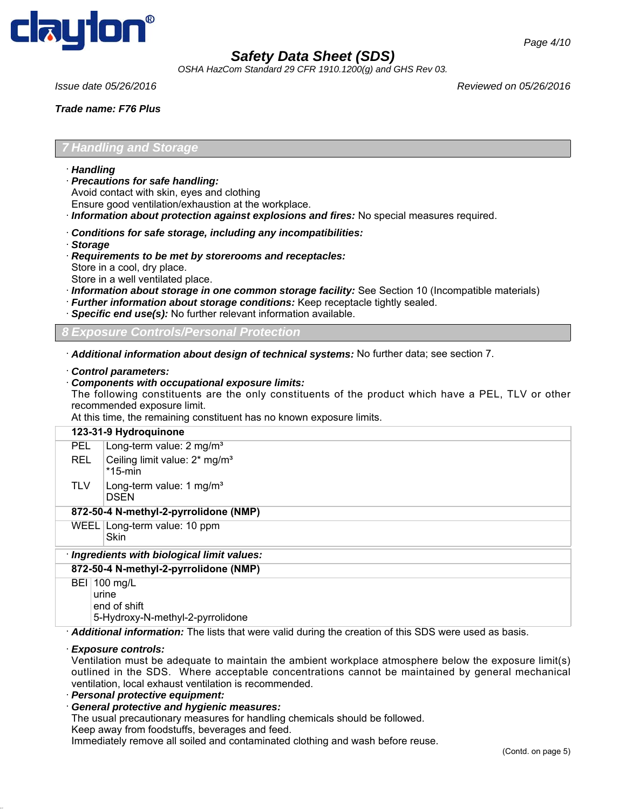

*OSHA HazCom Standard 29 CFR 1910.1200(g) and GHS Rev 03.*

*Trade name: F76 Plus*

*Page 4/10*

#### *7 Handling and Storage*

- · *Handling*
- · *Precautions for safe handling:*
- Avoid contact with skin, eyes and clothing
- Ensure good ventilation/exhaustion at the workplace.
- · *Information about protection against explosions and fires:* No special measures required.

#### · *Conditions for safe storage, including any incompatibilities:*

- · *Storage*
- · *Requirements to be met by storerooms and receptacles:* Store in a cool, dry place.
- Store in a well ventilated place.
- · *Information about storage in one common storage facility:* See Section 10 (Incompatible materials)
- · *Further information about storage conditions:* Keep receptacle tightly sealed.
- Specific end use(s): No further relevant information available.

*Controls/Personal Protection* 

· *Additional information about design of technical systems:* No further data; see section 7.

· *Control parameters:*

#### · *Components with occupational exposure limits:*

The following constituents are the only constituents of the product which have a PEL, TLV or other recommended exposure limit.

At this time, the remaining constituent has no known exposure limits.

#### **123-31-9 Hydroquinone** PEL | Long-term value: 2 mg/m<sup>3</sup>

- REL  $\int$  Ceiling limit value: 2\* mg/m<sup>3</sup> \*15-min
- TLV  $\vert$  Long-term value: 1 mg/m<sup>3</sup> DSEN

#### **872-50-4 N-methyl-2-pyrrolidone (NMP)**

WEEL Long-term value: 10 ppm

Skin

## · *Ingredients with biological limit values:*

**872-50-4 N-methyl-2-pyrrolidone (NMP)**

BEI 100 mg/L urine end of shift

5-Hydroxy-N-methyl-2-pyrrolidone

· *Additional information:* The lists that were valid during the creation of this SDS were used as basis.

#### · *Exposure controls:*

Ventilation must be adequate to maintain the ambient workplace atmosphere below the exposure limit(s) outlined in the SDS. Where acceptable concentrations cannot be maintained by general mechanical ventilation, local exhaust ventilation is recommended.

· *Personal protective equipment:*

#### · *General protective and hygienic measures:*

The usual precautionary measures for handling chemicals should be followed.

Keep away from foodstuffs, beverages and feed.

Immediately remove all soiled and contaminated clothing and wash before reuse.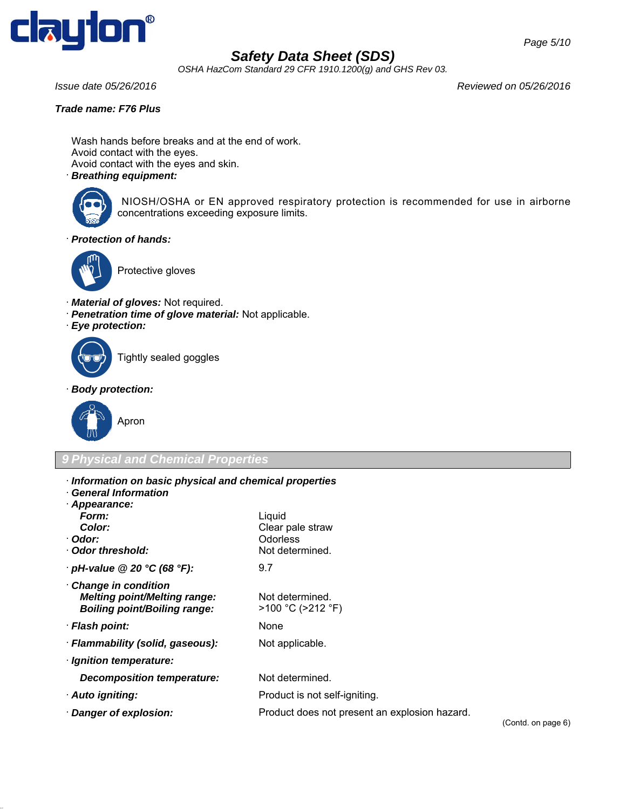

*OSHA HazCom Standard 29 CFR 1910.1200(g) and GHS Rev 03.*

*Issue date 05/26/2016 Reviewed on 05/26/2016*

#### *Trade name: F76 Plus*

Wash hands before breaks and at the end of work. Avoid contact with the eyes. Avoid contact with the eyes and skin.

### · *Breathing equipment:*



 NIOSH/OSHA or EN approved respiratory protection is recommended for use in airborne concentrations exceeding exposure limits.

· *Protection of hands:*



Protective gloves

- · *Material of gloves:* Not required.
- · *Penetration time of glove material:* Not applicable.
- · *Eye protection:*



Tightly sealed goggles

· *Body protection:*



### *9 Physical and Chemical Properties*

- · *Information on basic physical and chemical properties*
- · *General Information* · *Appearance:*

| Appearance.                                                                                       |                                                                    |
|---------------------------------------------------------------------------------------------------|--------------------------------------------------------------------|
| Form:                                                                                             | Liquid                                                             |
| Color:                                                                                            | Clear pale straw                                                   |
| · Odor:                                                                                           | <b>Odorless</b>                                                    |
| · Odor threshold:                                                                                 | Not determined.                                                    |
| $\cdot$ pH-value @ 20 °C (68 °F):                                                                 | 9.7                                                                |
| Change in condition<br><b>Melting point/Melting range:</b><br><b>Boiling point/Boiling range:</b> | Not determined.<br>$>100$ °C ( $>212$ °F)                          |
| · Flash point:                                                                                    | None                                                               |
| · Flammability (solid, gaseous):                                                                  | Not applicable.                                                    |
| · Ignition temperature:                                                                           |                                                                    |
| Decomposition temperature:                                                                        | Not determined.                                                    |
| · Auto igniting:                                                                                  | Product is not self-igniting.                                      |
| · Danger of explosion:                                                                            | Product does not present an explosion hazard.<br>$\Gamma$ $\Gamma$ |

(Contd. on page 6)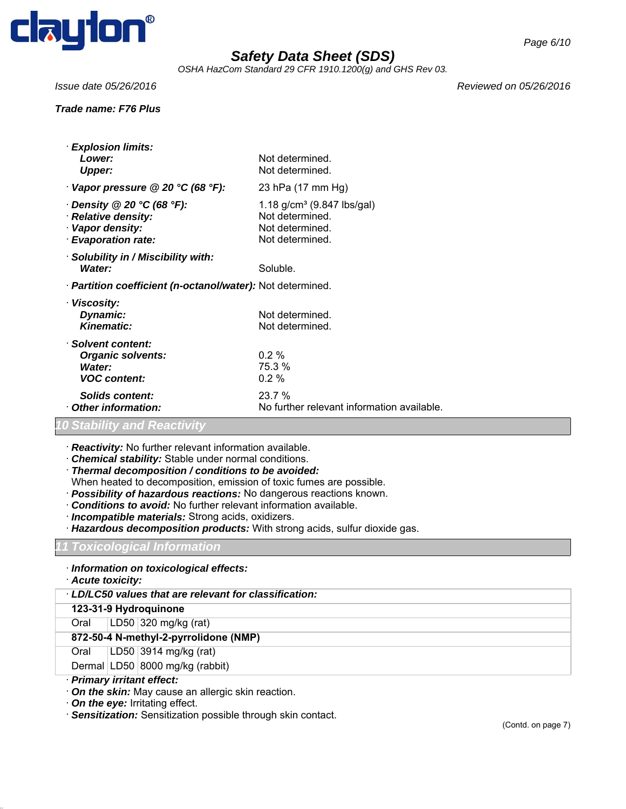

*OSHA HazCom Standard 29 CFR 1910.1200(g) and GHS Rev 03.*

#### *Trade name: F76 Plus*

*Issue date 05/26/2016 Reviewed on 05/26/2016*

| · Explosion limits:<br>Lower:<br>Upper:                                                            | Not determined.<br>Not determined.                                                     |  |
|----------------------------------------------------------------------------------------------------|----------------------------------------------------------------------------------------|--|
| $\cdot$ Vapor pressure @ 20 °C (68 °F):                                                            | 23 hPa (17 mm Hg)                                                                      |  |
| $\cdot$ Density @ 20 °C (68 °F):<br>· Relative density:<br>· Vapor density:<br>· Evaporation rate: | 1.18 $g/cm^3$ (9.847 lbs/gal)<br>Not determined.<br>Not determined.<br>Not determined. |  |
| · Solubility in / Miscibility with:<br>Water:                                                      | Soluble.                                                                               |  |
| · Partition coefficient (n-octanol/water): Not determined.                                         |                                                                                        |  |
| · Viscosity:<br>Dynamic:<br>Kinematic:                                                             | Not determined.<br>Not determined.                                                     |  |
| Solvent content:<br><b>Organic solvents:</b><br>Water:<br><b>VOC content:</b>                      | $0.2 \%$<br>75.3 %<br>$0.2 \%$                                                         |  |
| Solids content:<br>Other information:                                                              | 23.7%<br>No further relevant information available.                                    |  |

#### *10 Stability and Reactivity*

· *Reactivity:* No further relevant information available.

- · *Chemical stability:* Stable under normal conditions.
- · *Thermal decomposition / conditions to be avoided:*
- When heated to decomposition, emission of toxic fumes are possible.
- · *Possibility of hazardous reactions:* No dangerous reactions known.
- · *Conditions to avoid:* No further relevant information available.
- · *Incompatible materials:* Strong acids, oxidizers.
- · *Hazardous decomposition products:* With strong acids, sulfur dioxide gas.

#### *11 Toxicological Information*

- · *Information on toxicological effects:*
- · *Acute toxicity:*
- · *LD/LC50 values that are relevant for classification:*
- **123-31-9 Hydroquinone**
- Oral LD50 320 mg/kg (rat)
- **872-50-4 N-methyl-2-pyrrolidone (NMP)**
- Oral LD50 3914 mg/kg (rat)
- Dermal LD50 8000 mg/kg (rabbit)
- · *Primary irritant effect:*
- · *On the skin:* May cause an allergic skin reaction.
- · *On the eye:* Irritating effect.
- · *Sensitization:* Sensitization possible through skin contact.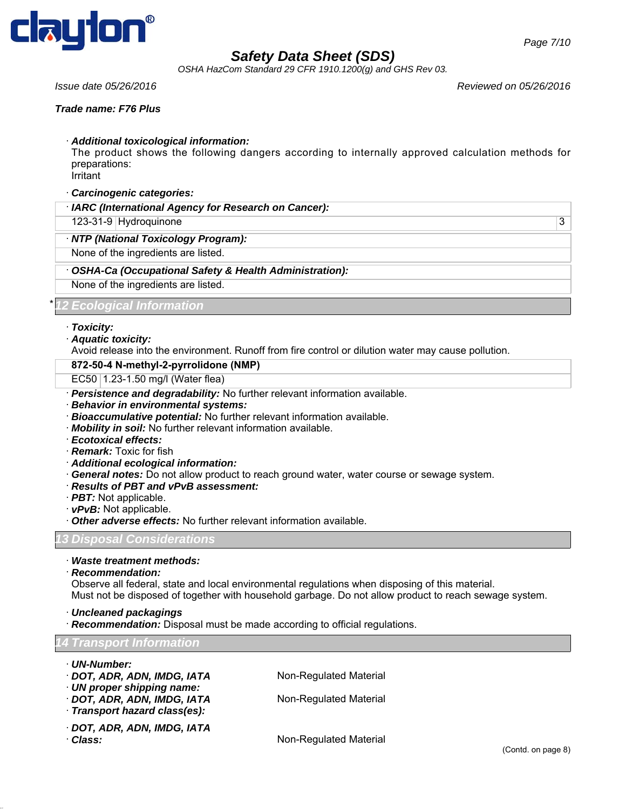

*OSHA HazCom Standard 29 CFR 1910.1200(g) and GHS Rev 03.*

*Issue date 05/26/2016 Reviewed on 05/26/2016*

#### *Trade name: F76 Plus*

· *Additional toxicological information:*

The product shows the following dangers according to internally approved calculation methods for preparations:

Irritant

- · *Carcinogenic categories:*
- · *IARC (International Agency for Research on Cancer):*
- 123-31-9 Hydroquinone 3

#### · *NTP (National Toxicology Program):*

None of the ingredients are listed.

- · *OSHA-Ca (Occupational Safety & Health Administration):*
- None of the ingredients are listed.

#### \* *12 Ecological Information*

- · *Toxicity:*
- · *Aquatic toxicity:*
- Avoid release into the environment. Runoff from fire control or dilution water may cause pollution.

#### **872-50-4 N-methyl-2-pyrrolidone (NMP)**

- EC50 1.23-1.50 mg/l (Water flea)
- · *Persistence and degradability:* No further relevant information available.
- · *Behavior in environmental systems:*
- · *Bioaccumulative potential:* No further relevant information available.
- · *Mobility in soil:* No further relevant information available.
- · *Ecotoxical effects:*
- · *Remark:* Toxic for fish
- · *Additional ecological information:*
- · *General notes:* Do not allow product to reach ground water, water course or sewage system.
- · *Results of PBT and vPvB assessment:*
- · *PBT:* Not applicable.
- · *vPvB:* Not applicable.
- · *Other adverse effects:* No further relevant information available.

*13 Disposal Considerations*

- · *Waste treatment methods:*
- · *Recommendation:*

Observe all federal, state and local environmental regulations when disposing of this material. Must not be disposed of together with household garbage. Do not allow product to reach sewage system.

- · *Uncleaned packagings*
- · *Recommendation:* Disposal must be made according to official regulations.

#### *14 Transport Information*

- · *UN-Number:*
- · **DOT, ADR, ADN, IMDG, IATA** Non-Regulated Material
- · *UN proper shipping name:*
- · **DOT, ADR, ADN, IMDG, IATA** Non-Regulated Material
- · *Transport hazard class(es):*
- · *DOT, ADR, ADN, IMDG, IATA*
- 

· Class: Class: **Non-Regulated Material**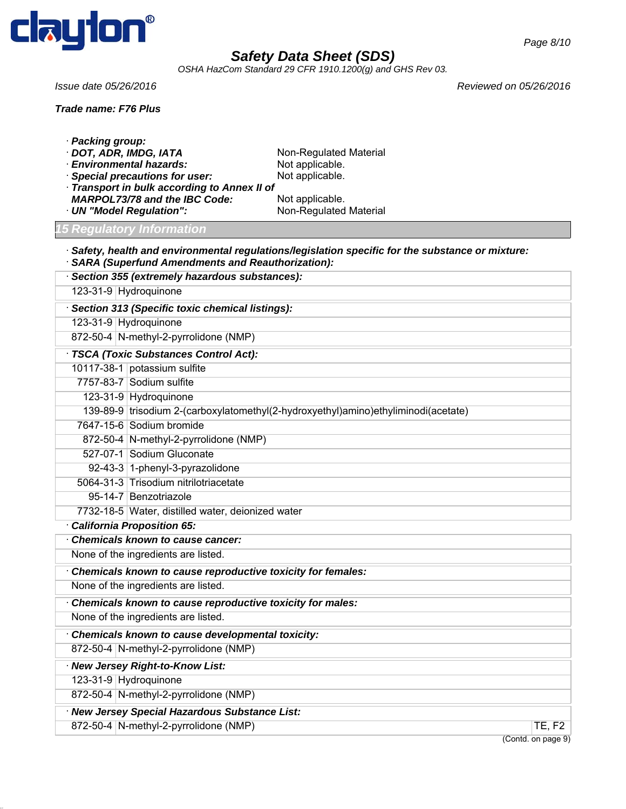

*OSHA HazCom Standard 29 CFR 1910.1200(g) and GHS Rev 03.*

*Trade name: F76 Plus*

*Issue date 05/26/2016 Reviewed on 05/26/2016*

| · Packing group:                                            |                                                                                                         |                                                     |
|-------------------------------------------------------------|---------------------------------------------------------------------------------------------------------|-----------------------------------------------------|
| · DOT, ADR, IMDG, IATA<br>· Environmental hazards:          | Non-Regulated Material<br>Not applicable.                                                               |                                                     |
| <b>Special precautions for user:</b>                        | Not applicable.                                                                                         |                                                     |
| Transport in bulk according to Annex II of                  |                                                                                                         |                                                     |
| <b>MARPOL73/78 and the IBC Code:</b>                        | Not applicable.                                                                                         |                                                     |
| · UN "Model Regulation":                                    | Non-Regulated Material                                                                                  |                                                     |
| <b>15 Regulatory Information</b>                            |                                                                                                         |                                                     |
| <b>SARA (Superfund Amendments and Reauthorization):</b>     | $\cdot$ Safety, health and environmental regulations/legislation specific for the substance or mixture: |                                                     |
| · Section 355 (extremely hazardous substances):             |                                                                                                         |                                                     |
| 123-31-9 Hydroquinone                                       |                                                                                                         |                                                     |
| Section 313 (Specific toxic chemical listings):             |                                                                                                         |                                                     |
| 123-31-9 Hydroquinone                                       |                                                                                                         |                                                     |
| 872-50-4 N-methyl-2-pyrrolidone (NMP)                       |                                                                                                         |                                                     |
| · TSCA (Toxic Substances Control Act):                      |                                                                                                         |                                                     |
| 10117-38-1 potassium sulfite                                |                                                                                                         |                                                     |
| 7757-83-7 Sodium sulfite                                    |                                                                                                         |                                                     |
| 123-31-9 Hydroquinone                                       |                                                                                                         |                                                     |
|                                                             | 139-89-9 trisodium 2-(carboxylatomethyl(2-hydroxyethyl)amino)ethyliminodi(acetate)                      |                                                     |
| 7647-15-6 Sodium bromide                                    |                                                                                                         |                                                     |
| 872-50-4 N-methyl-2-pyrrolidone (NMP)                       |                                                                                                         |                                                     |
| 527-07-1 Sodium Gluconate                                   |                                                                                                         |                                                     |
| 92-43-3 1-phenyl-3-pyrazolidone                             |                                                                                                         |                                                     |
| 5064-31-3 Trisodium nitrilotriacetate                       |                                                                                                         |                                                     |
| 95-14-7 Benzotriazole                                       |                                                                                                         |                                                     |
| 7732-18-5 Water, distilled water, deionized water           |                                                                                                         |                                                     |
| · California Proposition 65:                                |                                                                                                         |                                                     |
| <b>Chemicals known to cause cancer:</b>                     |                                                                                                         |                                                     |
| None of the ingredients are listed.                         |                                                                                                         |                                                     |
| Chemicals known to cause reproductive toxicity for females: |                                                                                                         |                                                     |
| None of the ingredients are listed.                         |                                                                                                         |                                                     |
| Chemicals known to cause reproductive toxicity for males:   |                                                                                                         |                                                     |
| None of the ingredients are listed.                         |                                                                                                         |                                                     |
| Chemicals known to cause developmental toxicity:            |                                                                                                         |                                                     |
| 872-50-4 N-methyl-2-pyrrolidone (NMP)                       |                                                                                                         |                                                     |
| · New Jersey Right-to-Know List:                            |                                                                                                         |                                                     |
| 123-31-9 Hydroguinone                                       |                                                                                                         |                                                     |
| 872-50-4 N-methyl-2-pyrrolidone (NMP)                       |                                                                                                         |                                                     |
| · New Jersey Special Hazardous Substance List:              |                                                                                                         |                                                     |
| 872-50-4 N-methyl-2-pyrrolidone (NMP)                       |                                                                                                         | TE, F2                                              |
|                                                             |                                                                                                         | $(Constd, \text{on } \text{no } \text{on } \Omega)$ |

(Contd. on page 9)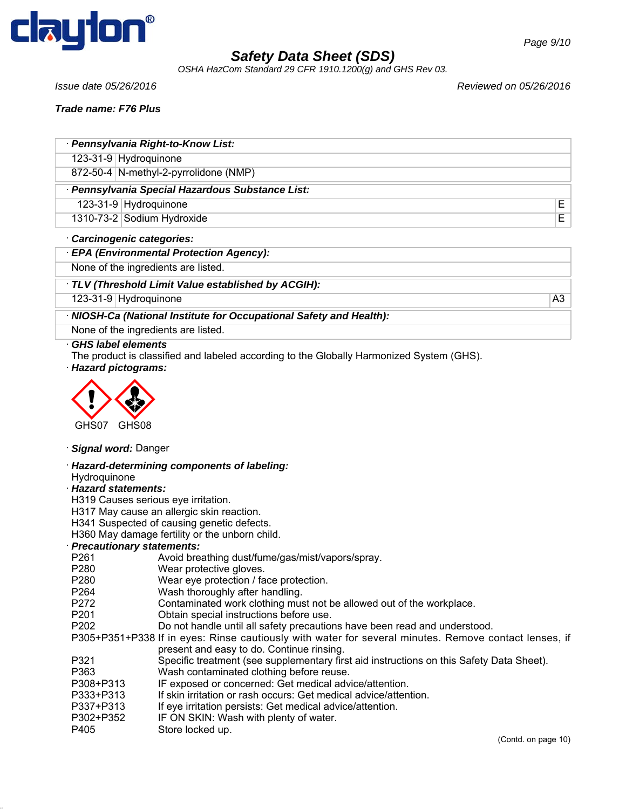

*OSHA HazCom Standard 29 CFR 1910.1200(g) and GHS Rev 03.*

*Issue date 05/26/2016 Reviewed on 05/26/2016*

*Trade name: F76 Plus*

| · Pennsylvania Right-to-Know List:               |  |
|--------------------------------------------------|--|
| 123-31-9 Hydroquinone                            |  |
| 872-50-4   N-methyl-2-pyrrolidone (NMP)          |  |
| · Pennsylvania Special Hazardous Substance List: |  |
| 123-31-9 Hydroquinone                            |  |
| 1310-73-2 Sodium Hydroxide                       |  |
|                                                  |  |

- · *Carcinogenic categories:*
- · *EPA (Environmental Protection Agency):*

None of the ingredients are listed.

· *TLV (Threshold Limit Value established by ACGIH):*

123-31-9 Hydroquinone A3

### · *NIOSH-Ca (National Institute for Occupational Safety and Health):*

None of the ingredients are listed.

#### · *GHS label elements*

The product is classified and labeled according to the Globally Harmonized System (GHS).





#### · *Signal word:* Danger

· *Hazard-determining components of labeling:* Hydroquinone

#### · *Hazard statements:*

H319 Causes serious eye irritation.

H317 May cause an allergic skin reaction.

H341 Suspected of causing genetic defects.

H360 May damage fertility or the unborn child.

# · *Precautionary statements:*

- Avoid breathing dust/fume/gas/mist/vapors/spray.
- P280 Wear protective gloves.<br>P280 Wear eve protection / fa
- Wear eye protection / face protection.
- P264 Wash thoroughly after handling.
- P272 Contaminated work clothing must not be allowed out of the workplace.
- P201 Obtain special instructions before use.
- P202 Do not handle until all safety precautions have been read and understood.

P305+P351+P338 If in eyes: Rinse cautiously with water for several minutes. Remove contact lenses, if present and easy to do. Continue rinsing.

- P321 Specific treatment (see supplementary first aid instructions on this Safety Data Sheet).
- P363 Wash contaminated clothing before reuse.
- P308+P313 IF exposed or concerned: Get medical advice/attention.
- P333+P313 If skin irritation or rash occurs: Get medical advice/attention.
- P337+P313 If eye irritation persists: Get medical advice/attention.
- P302+P352 IF ON SKIN: Wash with plenty of water.
- P405 Store locked up.